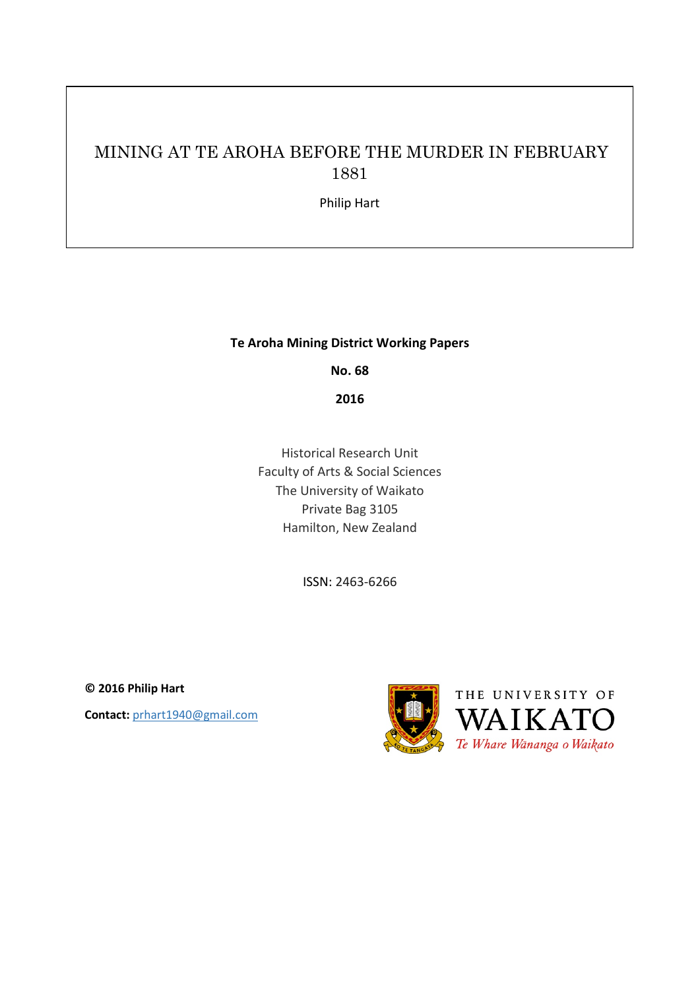# MINING AT TE AROHA BEFORE THE MURDER IN FEBRUARY 1881

Philip Hart

## **Te Aroha Mining District Working Papers**

**No. 68**

**2016**

Historical Research Unit Faculty of Arts & Social Sciences The University of Waikato Private Bag 3105 Hamilton, New Zealand

ISSN: 2463-6266

**© 2016 Philip Hart Contact:** prhart1940@gmail.com

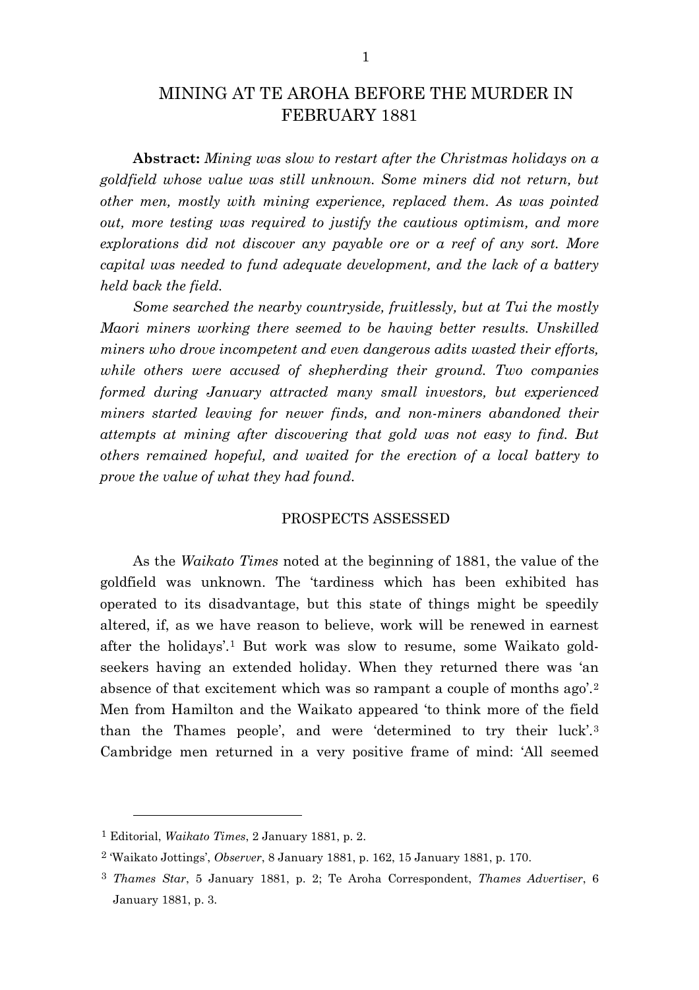## MINING AT TE AROHA BEFORE THE MURDER IN FEBRUARY 1881

**Abstract:** *Mining was slow to restart after the Christmas holidays on a goldfield whose value was still unknown. Some miners did not return, but other men, mostly with mining experience, replaced them. As was pointed out, more testing was required to justify the cautious optimism, and more explorations did not discover any payable ore or a reef of any sort. More capital was needed to fund adequate development, and the lack of a battery held back the field.*

*Some searched the nearby countryside, fruitlessly, but at Tui the mostly Maori miners working there seemed to be having better results. Unskilled miners who drove incompetent and even dangerous adits wasted their efforts, while others were accused of shepherding their ground. Two companies formed during January attracted many small investors, but experienced miners started leaving for newer finds, and non-miners abandoned their attempts at mining after discovering that gold was not easy to find. But others remained hopeful, and waited for the erection of a local battery to prove the value of what they had found.*

## PROSPECTS ASSESSED

As the *Waikato Times* noted at the beginning of 1881, the value of the goldfield was unknown. The 'tardiness which has been exhibited has operated to its disadvantage, but this state of things might be speedily altered, if, as we have reason to believe, work will be renewed in earnest after the holidays'.[1](#page-1-0) But work was slow to resume, some Waikato goldseekers having an extended holiday. When they returned there was 'an absence of that excitement which was so rampant a couple of months ago'.[2](#page-1-1) Men from Hamilton and the Waikato appeared 'to think more of the field than the Thames people', and were 'determined to try their luck'.[3](#page-1-2) Cambridge men returned in a very positive frame of mind: 'All seemed

<span id="page-1-0"></span><sup>1</sup> Editorial, *Waikato Times*, 2 January 1881, p. 2.

<span id="page-1-1"></span><sup>2</sup> 'Waikato Jottings', *Observer*, 8 January 1881, p. 162, 15 January 1881, p. 170.

<span id="page-1-2"></span><sup>3</sup> *Thames Star*, 5 January 1881, p. 2; Te Aroha Correspondent, *Thames Advertiser*, 6 January 1881, p. 3.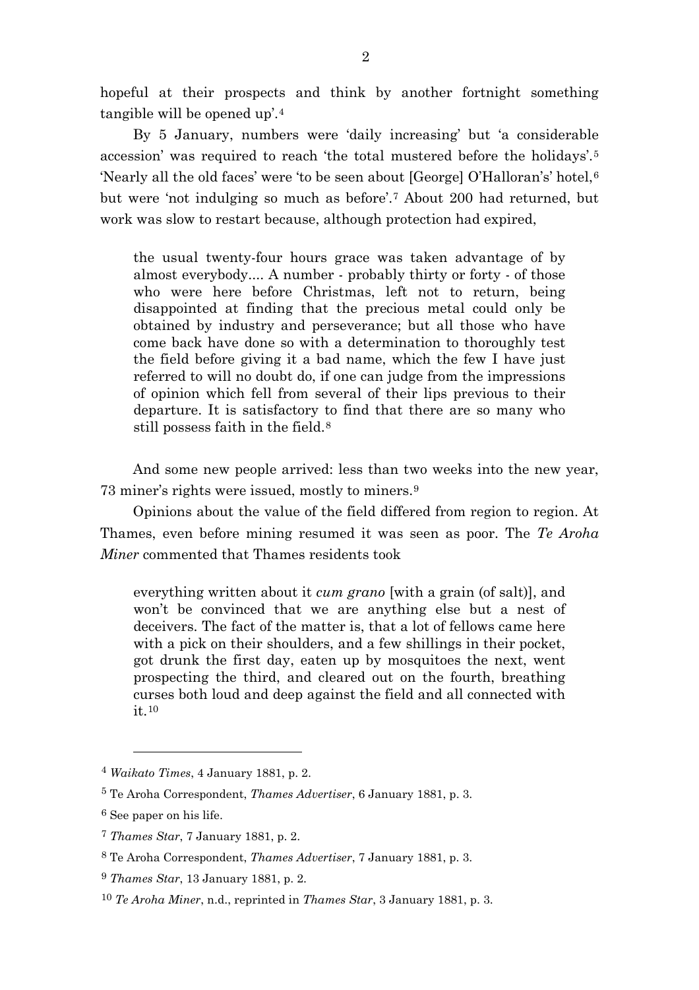hopeful at their prospects and think by another fortnight something tangible will be opened up'.[4](#page-2-0)

By 5 January, numbers were 'daily increasing' but 'a considerable accession' was required to reach 'the total mustered before the holidays'.[5](#page-2-1) 'Nearly all the old faces' were 'to be seen about [George] O'Halloran's' hotel,[6](#page-2-2) but were 'not indulging so much as before'.[7](#page-2-3) About 200 had returned, but work was slow to restart because, although protection had expired,

the usual twenty-four hours grace was taken advantage of by almost everybody.... A number - probably thirty or forty - of those who were here before Christmas, left not to return, being disappointed at finding that the precious metal could only be obtained by industry and perseverance; but all those who have come back have done so with a determination to thoroughly test the field before giving it a bad name, which the few I have just referred to will no doubt do, if one can judge from the impressions of opinion which fell from several of their lips previous to their departure. It is satisfactory to find that there are so many who still possess faith in the field.[8](#page-2-4)

And some new people arrived: less than two weeks into the new year, 73 miner's rights were issued, mostly to miners.[9](#page-2-5)

Opinions about the value of the field differed from region to region. At Thames, even before mining resumed it was seen as poor. The *Te Aroha Miner* commented that Thames residents took

everything written about it *cum grano* [with a grain (of salt)], and won't be convinced that we are anything else but a nest of deceivers. The fact of the matter is, that a lot of fellows came here with a pick on their shoulders, and a few shillings in their pocket, got drunk the first day, eaten up by mosquitoes the next, went prospecting the third, and cleared out on the fourth, breathing curses both loud and deep against the field and all connected with it.[10](#page-2-6)

<span id="page-2-0"></span><sup>4</sup> *Waikato Times*, 4 January 1881, p. 2.

<span id="page-2-1"></span><sup>5</sup> Te Aroha Correspondent, *Thames Advertiser*, 6 January 1881, p. 3.

<span id="page-2-3"></span><span id="page-2-2"></span><sup>6</sup> See paper on his life.

<sup>7</sup> *Thames Star*, 7 January 1881, p. 2.

<span id="page-2-4"></span><sup>8</sup> Te Aroha Correspondent, *Thames Advertiser*, 7 January 1881, p. 3.

<span id="page-2-5"></span><sup>9</sup> *Thames Star*, 13 January 1881, p. 2.

<span id="page-2-6"></span><sup>10</sup> *Te Aroha Miner*, n.d., reprinted in *Thames Star*, 3 January 1881, p. 3.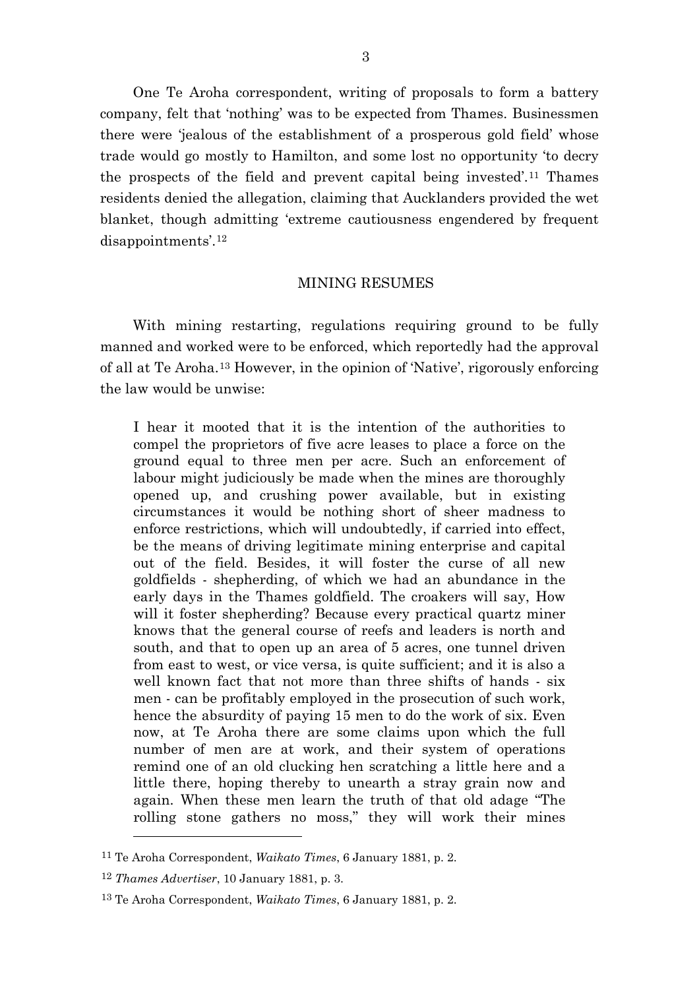One Te Aroha correspondent, writing of proposals to form a battery company, felt that 'nothing' was to be expected from Thames. Businessmen there were 'jealous of the establishment of a prosperous gold field' whose trade would go mostly to Hamilton, and some lost no opportunity 'to decry the prospects of the field and prevent capital being invested'.[11](#page-3-0) Thames residents denied the allegation, claiming that Aucklanders provided the wet blanket, though admitting 'extreme cautiousness engendered by frequent disappointments'.[12](#page-3-1)

#### MINING RESUMES

With mining restarting, regulations requiring ground to be fully manned and worked were to be enforced, which reportedly had the approval of all at Te Aroha.[13](#page-3-2) However, in the opinion of 'Native', rigorously enforcing the law would be unwise:

I hear it mooted that it is the intention of the authorities to compel the proprietors of five acre leases to place a force on the ground equal to three men per acre. Such an enforcement of labour might judiciously be made when the mines are thoroughly opened up, and crushing power available, but in existing circumstances it would be nothing short of sheer madness to enforce restrictions, which will undoubtedly, if carried into effect, be the means of driving legitimate mining enterprise and capital out of the field. Besides, it will foster the curse of all new goldfields - shepherding, of which we had an abundance in the early days in the Thames goldfield. The croakers will say, How will it foster shepherding? Because every practical quartz miner knows that the general course of reefs and leaders is north and south, and that to open up an area of 5 acres, one tunnel driven from east to west, or vice versa, is quite sufficient; and it is also a well known fact that not more than three shifts of hands - six men - can be profitably employed in the prosecution of such work, hence the absurdity of paying 15 men to do the work of six. Even now, at Te Aroha there are some claims upon which the full number of men are at work, and their system of operations remind one of an old clucking hen scratching a little here and a little there, hoping thereby to unearth a stray grain now and again. When these men learn the truth of that old adage "The rolling stone gathers no moss," they will work their mines

<span id="page-3-0"></span><sup>11</sup> Te Aroha Correspondent, *Waikato Times*, 6 January 1881, p. 2.

<span id="page-3-1"></span><sup>12</sup> *Thames Advertiser*, 10 January 1881, p. 3.

<span id="page-3-2"></span><sup>13</sup> Te Aroha Correspondent, *Waikato Times*, 6 January 1881, p. 2.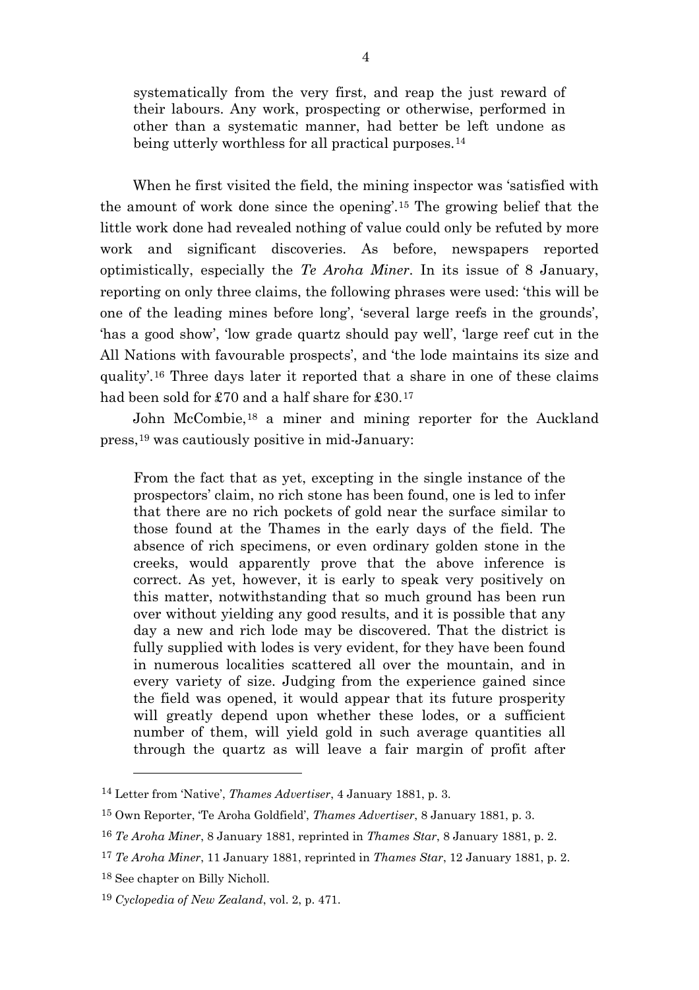systematically from the very first, and reap the just reward of their labours. Any work, prospecting or otherwise, performed in other than a systematic manner, had better be left undone as being utterly worthless for all practical purposes.<sup>[14](#page-4-0)</sup>

When he first visited the field, the mining inspector was 'satisfied with the amount of work done since the opening'.[15](#page-4-1) The growing belief that the little work done had revealed nothing of value could only be refuted by more work and significant discoveries. As before, newspapers reported optimistically, especially the *Te Aroha Miner*. In its issue of 8 January, reporting on only three claims, the following phrases were used: 'this will be one of the leading mines before long', 'several large reefs in the grounds', 'has a good show', 'low grade quartz should pay well', 'large reef cut in the All Nations with favourable prospects', and 'the lode maintains its size and quality'.[16](#page-4-2) Three days later it reported that a share in one of these claims had been sold for £70 and a half share for £30.[17](#page-4-3)

John McCombie,[18](#page-4-4) a miner and mining reporter for the Auckland press,[19](#page-4-5) was cautiously positive in mid-January:

From the fact that as yet, excepting in the single instance of the prospectors' claim, no rich stone has been found, one is led to infer that there are no rich pockets of gold near the surface similar to those found at the Thames in the early days of the field. The absence of rich specimens, or even ordinary golden stone in the creeks, would apparently prove that the above inference is correct. As yet, however, it is early to speak very positively on this matter, notwithstanding that so much ground has been run over without yielding any good results, and it is possible that any day a new and rich lode may be discovered. That the district is fully supplied with lodes is very evident, for they have been found in numerous localities scattered all over the mountain, and in every variety of size. Judging from the experience gained since the field was opened, it would appear that its future prosperity will greatly depend upon whether these lodes, or a sufficient number of them, will yield gold in such average quantities all through the quartz as will leave a fair margin of profit after

<span id="page-4-0"></span><sup>14</sup> Letter from 'Native', *Thames Advertiser*, 4 January 1881, p. 3.

<span id="page-4-1"></span><sup>15</sup> Own Reporter, 'Te Aroha Goldfield', *Thames Advertiser*, 8 January 1881, p. 3.

<span id="page-4-2"></span><sup>16</sup> *Te Aroha Miner*, 8 January 1881, reprinted in *Thames Star*, 8 January 1881, p. 2.

<span id="page-4-3"></span><sup>17</sup> *Te Aroha Miner*, 11 January 1881, reprinted in *Thames Star*, 12 January 1881, p. 2.

<span id="page-4-4"></span><sup>18</sup> See chapter on Billy Nicholl.

<span id="page-4-5"></span><sup>19</sup> *Cyclopedia of New Zealand*, vol. 2, p. 471.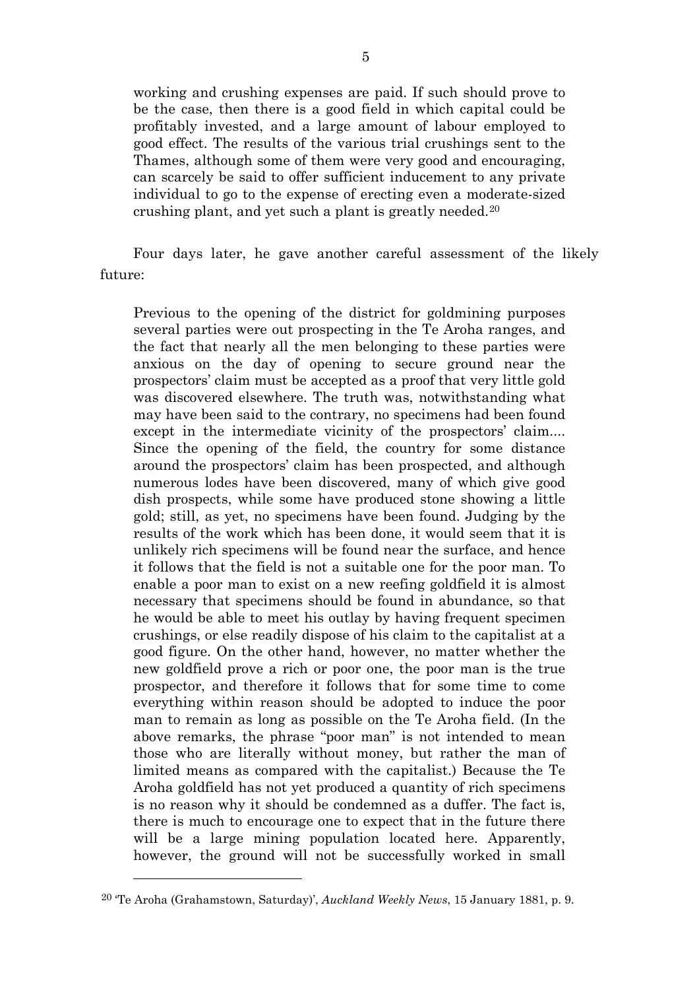working and crushing expenses are paid. If such should prove to be the case, then there is a good field in which capital could be profitably invested, and a large amount of labour employed to good effect. The results of the various trial crushings sent to the Thames, although some of them were very good and encouraging, can scarcely be said to offer sufficient inducement to any private individual to go to the expense of erecting even a moderate-sized crushing plant, and yet such a plant is greatly needed.[20](#page-5-0)

Four days later, he gave another careful assessment of the likely future:

Previous to the opening of the district for goldmining purposes several parties were out prospecting in the Te Aroha ranges, and the fact that nearly all the men belonging to these parties were anxious on the day of opening to secure ground near the prospectors' claim must be accepted as a proof that very little gold was discovered elsewhere. The truth was, notwithstanding what may have been said to the contrary, no specimens had been found except in the intermediate vicinity of the prospectors' claim.... Since the opening of the field, the country for some distance around the prospectors' claim has been prospected, and although numerous lodes have been discovered, many of which give good dish prospects, while some have produced stone showing a little gold; still, as yet, no specimens have been found. Judging by the results of the work which has been done, it would seem that it is unlikely rich specimens will be found near the surface, and hence it follows that the field is not a suitable one for the poor man. To enable a poor man to exist on a new reefing goldfield it is almost necessary that specimens should be found in abundance, so that he would be able to meet his outlay by having frequent specimen crushings, or else readily dispose of his claim to the capitalist at a good figure. On the other hand, however, no matter whether the new goldfield prove a rich or poor one, the poor man is the true prospector, and therefore it follows that for some time to come everything within reason should be adopted to induce the poor man to remain as long as possible on the Te Aroha field. (In the above remarks, the phrase "poor man" is not intended to mean those who are literally without money, but rather the man of limited means as compared with the capitalist.) Because the Te Aroha goldfield has not yet produced a quantity of rich specimens is no reason why it should be condemned as a duffer. The fact is, there is much to encourage one to expect that in the future there will be a large mining population located here. Apparently, however, the ground will not be successfully worked in small

<span id="page-5-0"></span><sup>20</sup> 'Te Aroha (Grahamstown, Saturday)', *Auckland Weekly News*, 15 January 1881, p. 9.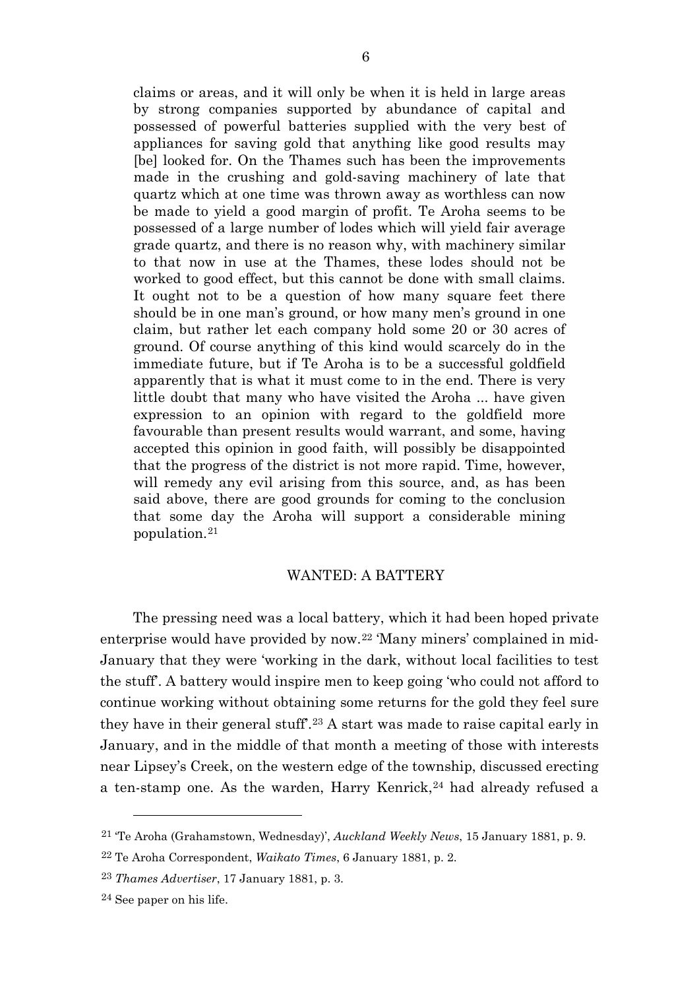claims or areas, and it will only be when it is held in large areas by strong companies supported by abundance of capital and possessed of powerful batteries supplied with the very best of appliances for saving gold that anything like good results may [be] looked for. On the Thames such has been the improvements made in the crushing and gold-saving machinery of late that quartz which at one time was thrown away as worthless can now be made to yield a good margin of profit. Te Aroha seems to be possessed of a large number of lodes which will yield fair average grade quartz, and there is no reason why, with machinery similar to that now in use at the Thames, these lodes should not be worked to good effect, but this cannot be done with small claims. It ought not to be a question of how many square feet there should be in one man's ground, or how many men's ground in one claim, but rather let each company hold some 20 or 30 acres of ground. Of course anything of this kind would scarcely do in the immediate future, but if Te Aroha is to be a successful goldfield apparently that is what it must come to in the end. There is very little doubt that many who have visited the Aroha ... have given expression to an opinion with regard to the goldfield more favourable than present results would warrant, and some, having accepted this opinion in good faith, will possibly be disappointed that the progress of the district is not more rapid. Time, however, will remedy any evil arising from this source, and, as has been said above, there are good grounds for coming to the conclusion that some day the Aroha will support a considerable mining population.[21](#page-6-0)

### WANTED: A BATTERY

The pressing need was a local battery, which it had been hoped private enterprise would have provided by now.[22](#page-6-1) 'Many miners' complained in mid-January that they were 'working in the dark, without local facilities to test the stuff'. A battery would inspire men to keep going 'who could not afford to continue working without obtaining some returns for the gold they feel sure they have in their general stuff'.[23](#page-6-2) A start was made to raise capital early in January, and in the middle of that month a meeting of those with interests near Lipsey's Creek, on the western edge of the township, discussed erecting a ten-stamp one. As the warden, Harry Kenrick,<sup>[24](#page-6-3)</sup> had already refused a

<span id="page-6-0"></span><sup>21</sup> 'Te Aroha (Grahamstown, Wednesday)', *Auckland Weekly News*, 15 January 1881, p. 9.

<span id="page-6-1"></span><sup>22</sup> Te Aroha Correspondent, *Waikato Times*, 6 January 1881, p. 2.

<span id="page-6-2"></span><sup>23</sup> *Thames Advertiser*, 17 January 1881, p. 3.

<span id="page-6-3"></span><sup>24</sup> See paper on his life.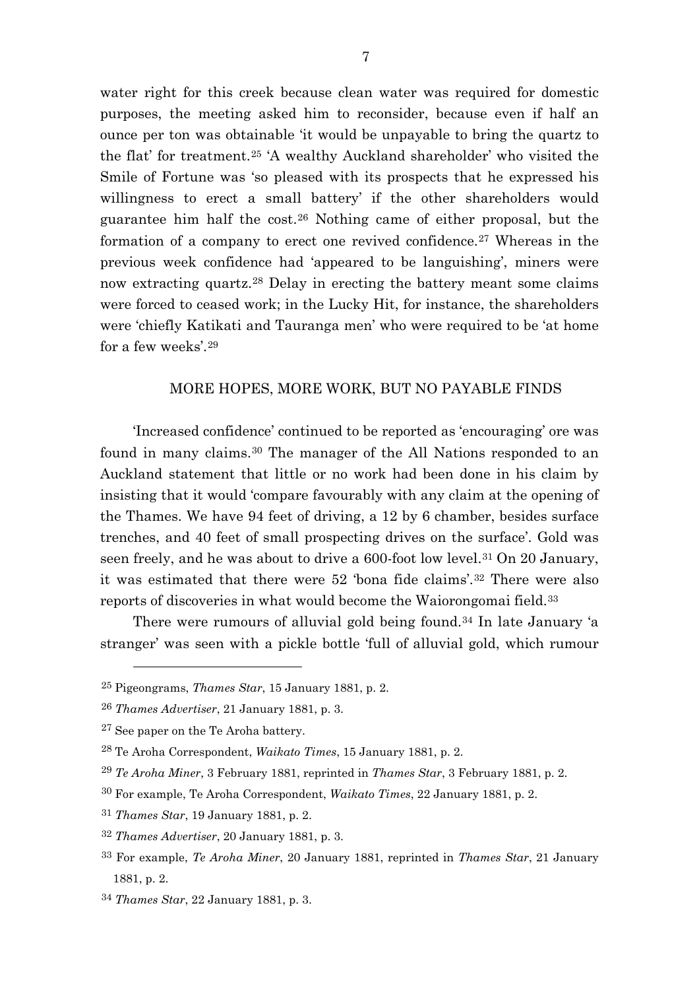water right for this creek because clean water was required for domestic purposes, the meeting asked him to reconsider, because even if half an ounce per ton was obtainable 'it would be unpayable to bring the quartz to the flat' for treatment.[25](#page-7-0) 'A wealthy Auckland shareholder' who visited the Smile of Fortune was 'so pleased with its prospects that he expressed his willingness to erect a small battery' if the other shareholders would guarantee him half the cost.[26](#page-7-1) Nothing came of either proposal, but the formation of a company to erect one revived confidence.[27](#page-7-2) Whereas in the previous week confidence had 'appeared to be languishing', miners were now extracting quartz.[28](#page-7-3) Delay in erecting the battery meant some claims were forced to ceased work; in the Lucky Hit, for instance, the shareholders were 'chiefly Katikati and Tauranga men' who were required to be 'at home for a few weeks'.[29](#page-7-4)

## MORE HOPES, MORE WORK, BUT NO PAYABLE FINDS

'Increased confidence' continued to be reported as 'encouraging' ore was found in many claims.[30](#page-7-5) The manager of the All Nations responded to an Auckland statement that little or no work had been done in his claim by insisting that it would 'compare favourably with any claim at the opening of the Thames. We have 94 feet of driving, a 12 by 6 chamber, besides surface trenches, and 40 feet of small prospecting drives on the surface'. Gold was seen freely, and he was about to drive a 600-foot low level.<sup>[31](#page-7-6)</sup> On 20 January, it was estimated that there were 52 'bona fide claims'.[32](#page-7-7) There were also reports of discoveries in what would become the Waiorongomai field.[33](#page-7-8)

There were rumours of alluvial gold being found.<sup>[34](#page-7-9)</sup> In late January 'a stranger' was seen with a pickle bottle 'full of alluvial gold, which rumour

 $\overline{a}$ 

<span id="page-7-0"></span><sup>25</sup> Pigeongrams, *Thames Star*, 15 January 1881, p. 2.

<span id="page-7-1"></span><sup>26</sup> *Thames Advertiser*, 21 January 1881, p. 3.

<span id="page-7-2"></span><sup>27</sup> See paper on the Te Aroha battery.

<span id="page-7-4"></span><span id="page-7-3"></span><sup>28</sup> Te Aroha Correspondent, *Waikato Times*, 15 January 1881, p. 2.

<sup>29</sup> *Te Aroha Miner*, 3 February 1881, reprinted in *Thames Star*, 3 February 1881, p. 2.

<span id="page-7-5"></span><sup>30</sup> For example, Te Aroha Correspondent, *Waikato Times*, 22 January 1881, p. 2.

<span id="page-7-6"></span><sup>31</sup> *Thames Star*, 19 January 1881, p. 2.

<span id="page-7-7"></span><sup>32</sup> *Thames Advertiser*, 20 January 1881, p. 3.

<span id="page-7-8"></span><sup>33</sup> For example, *Te Aroha Miner*, 20 January 1881, reprinted in *Thames Star*, 21 January 1881, p. 2.

<span id="page-7-9"></span><sup>34</sup> *Thames Star*, 22 January 1881, p. 3.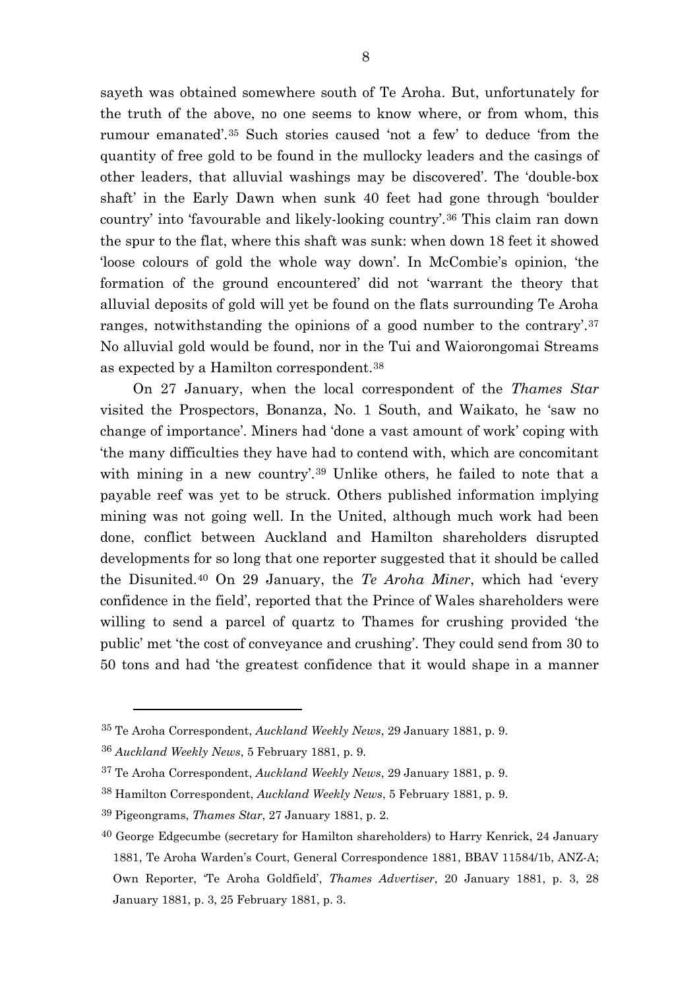sayeth was obtained somewhere south of Te Aroha. But, unfortunately for the truth of the above, no one seems to know where, or from whom, this rumour emanated'.[35](#page-8-0) Such stories caused 'not a few' to deduce 'from the quantity of free gold to be found in the mullocky leaders and the casings of other leaders, that alluvial washings may be discovered'. The 'double-box shaft' in the Early Dawn when sunk 40 feet had gone through 'boulder country' into 'favourable and likely-looking country'.[36](#page-8-1) This claim ran down the spur to the flat, where this shaft was sunk: when down 18 feet it showed 'loose colours of gold the whole way down'. In McCombie's opinion, 'the formation of the ground encountered' did not 'warrant the theory that alluvial deposits of gold will yet be found on the flats surrounding Te Aroha ranges, notwithstanding the opinions of a good number to the contrary'.[37](#page-8-2) No alluvial gold would be found, nor in the Tui and Waiorongomai Streams as expected by a Hamilton correspondent.[38](#page-8-3)

On 27 January, when the local correspondent of the *Thames Star*  visited the Prospectors, Bonanza, No. 1 South, and Waikato, he 'saw no change of importance'. Miners had 'done a vast amount of work' coping with 'the many difficulties they have had to contend with, which are concomitant with mining in a new country'.<sup>[39](#page-8-4)</sup> Unlike others, he failed to note that a payable reef was yet to be struck. Others published information implying mining was not going well. In the United, although much work had been done, conflict between Auckland and Hamilton shareholders disrupted developments for so long that one reporter suggested that it should be called the Disunited.[40](#page-8-5) On 29 January, the *Te Aroha Miner*, which had 'every confidence in the field', reported that the Prince of Wales shareholders were willing to send a parcel of quartz to Thames for crushing provided 'the public' met 'the cost of conveyance and crushing'. They could send from 30 to 50 tons and had 'the greatest confidence that it would shape in a manner

<span id="page-8-0"></span><sup>35</sup> Te Aroha Correspondent, *Auckland Weekly News*, 29 January 1881, p. 9.

<span id="page-8-1"></span><sup>36</sup> *Auckland Weekly News*, 5 February 1881, p. 9.

<span id="page-8-2"></span><sup>37</sup> Te Aroha Correspondent, *Auckland Weekly News*, 29 January 1881, p. 9.

<span id="page-8-3"></span><sup>38</sup> Hamilton Correspondent, *Auckland Weekly News*, 5 February 1881, p. 9.

<span id="page-8-5"></span><span id="page-8-4"></span><sup>39</sup> Pigeongrams, *Thames Star*, 27 January 1881, p. 2.

<sup>40</sup> George Edgecumbe (secretary for Hamilton shareholders) to Harry Kenrick, 24 January 1881, Te Aroha Warden's Court, General Correspondence 1881, BBAV 11584/1b, ANZ-A; Own Reporter, 'Te Aroha Goldfield', *Thames Advertiser*, 20 January 1881, p. 3, 28 January 1881, p. 3, 25 February 1881, p. 3.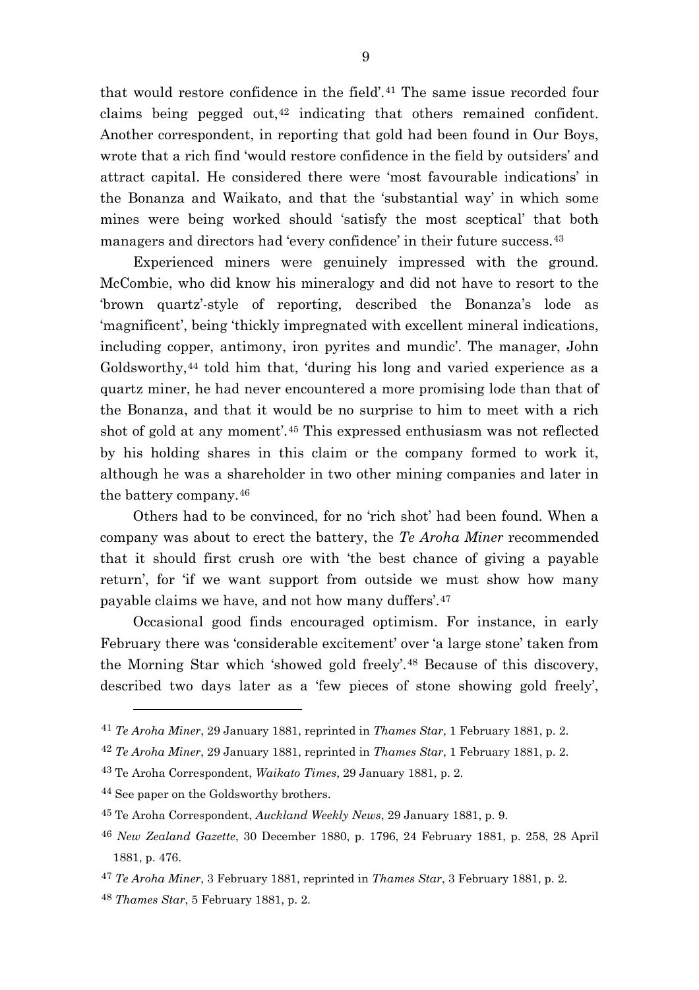that would restore confidence in the field'.[41](#page-9-0) The same issue recorded four claims being pegged out, $42$  indicating that others remained confident. Another correspondent, in reporting that gold had been found in Our Boys, wrote that a rich find 'would restore confidence in the field by outsiders' and attract capital. He considered there were 'most favourable indications' in the Bonanza and Waikato, and that the 'substantial way' in which some mines were being worked should 'satisfy the most sceptical' that both managers and directors had 'every confidence' in their future success.[43](#page-9-2)

Experienced miners were genuinely impressed with the ground. McCombie, who did know his mineralogy and did not have to resort to the 'brown quartz'-style of reporting, described the Bonanza's lode as 'magnificent', being 'thickly impregnated with excellent mineral indications, including copper, antimony, iron pyrites and mundic'. The manager, John Goldsworthy,<sup>[44](#page-9-3)</sup> told him that, 'during his long and varied experience as a quartz miner, he had never encountered a more promising lode than that of the Bonanza, and that it would be no surprise to him to meet with a rich shot of gold at any moment'.[45](#page-9-4) This expressed enthusiasm was not reflected by his holding shares in this claim or the company formed to work it, although he was a shareholder in two other mining companies and later in the battery company.[46](#page-9-5)

Others had to be convinced, for no 'rich shot' had been found. When a company was about to erect the battery, the *Te Aroha Miner* recommended that it should first crush ore with 'the best chance of giving a payable return', for 'if we want support from outside we must show how many payable claims we have, and not how many duffers'.[47](#page-9-6)

Occasional good finds encouraged optimism. For instance, in early February there was 'considerable excitement' over 'a large stone' taken from the Morning Star which 'showed gold freely'.[48](#page-9-7) Because of this discovery, described two days later as a 'few pieces of stone showing gold freely',

<span id="page-9-0"></span><sup>41</sup> *Te Aroha Miner*, 29 January 1881, reprinted in *Thames Star*, 1 February 1881, p. 2.

<span id="page-9-1"></span><sup>42</sup> *Te Aroha Miner*, 29 January 1881, reprinted in *Thames Star*, 1 February 1881, p. 2.

<span id="page-9-2"></span><sup>43</sup> Te Aroha Correspondent, *Waikato Times*, 29 January 1881, p. 2.

<span id="page-9-3"></span><sup>44</sup> See paper on the Goldsworthy brothers.

<span id="page-9-4"></span><sup>45</sup> Te Aroha Correspondent, *Auckland Weekly News*, 29 January 1881, p. 9.

<span id="page-9-5"></span><sup>46</sup> *New Zealand Gazette*, 30 December 1880, p. 1796, 24 February 1881, p. 258, 28 April 1881, p. 476.

<span id="page-9-6"></span><sup>47</sup> *Te Aroha Miner*, 3 February 1881, reprinted in *Thames Star*, 3 February 1881, p. 2.

<span id="page-9-7"></span><sup>48</sup> *Thames Star*, 5 February 1881, p. 2.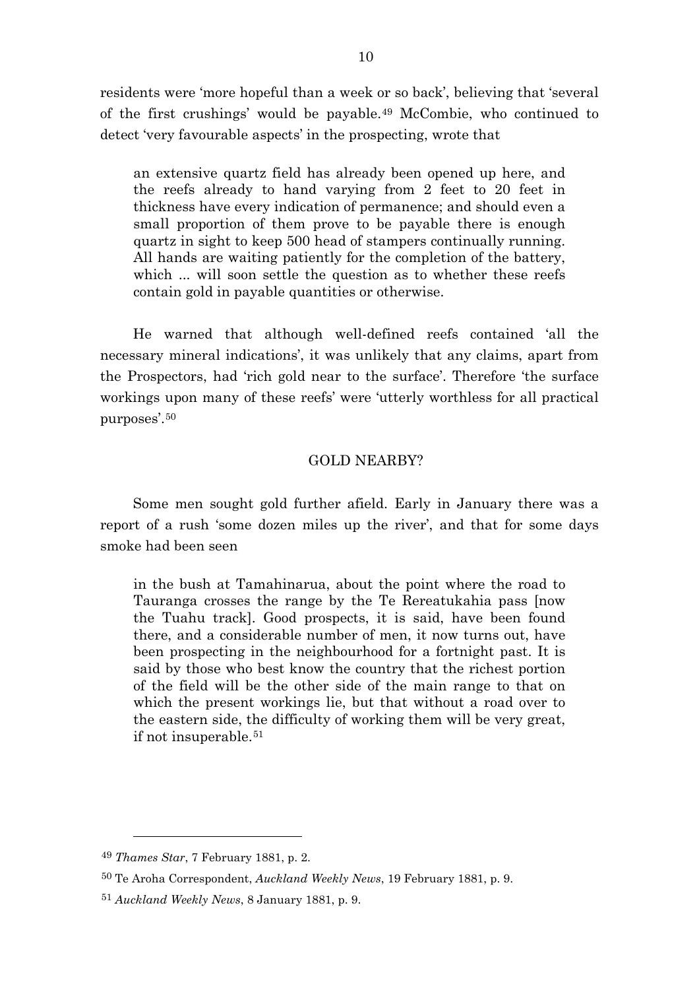residents were 'more hopeful than a week or so back', believing that 'several of the first crushings' would be payable.[49](#page-10-0) McCombie, who continued to detect 'very favourable aspects' in the prospecting, wrote that

an extensive quartz field has already been opened up here, and the reefs already to hand varying from 2 feet to 20 feet in thickness have every indication of permanence; and should even a small proportion of them prove to be payable there is enough quartz in sight to keep 500 head of stampers continually running. All hands are waiting patiently for the completion of the battery, which ... will soon settle the question as to whether these reefs contain gold in payable quantities or otherwise.

He warned that although well-defined reefs contained 'all the necessary mineral indications', it was unlikely that any claims, apart from the Prospectors, had 'rich gold near to the surface'. Therefore 'the surface workings upon many of these reefs' were 'utterly worthless for all practical purposes'.[50](#page-10-1)

## GOLD NEARBY?

Some men sought gold further afield. Early in January there was a report of a rush 'some dozen miles up the river', and that for some days smoke had been seen

in the bush at Tamahinarua, about the point where the road to Tauranga crosses the range by the Te Rereatukahia pass [now the Tuahu track]. Good prospects, it is said, have been found there, and a considerable number of men, it now turns out, have been prospecting in the neighbourhood for a fortnight past. It is said by those who best know the country that the richest portion of the field will be the other side of the main range to that on which the present workings lie, but that without a road over to the eastern side, the difficulty of working them will be very great, if not insuperable.[51](#page-10-2)

<span id="page-10-0"></span><sup>49</sup> *Thames Star*, 7 February 1881, p. 2.

<span id="page-10-1"></span><sup>50</sup> Te Aroha Correspondent, *Auckland Weekly News*, 19 February 1881, p. 9.

<span id="page-10-2"></span><sup>51</sup> *Auckland Weekly News*, 8 January 1881, p. 9.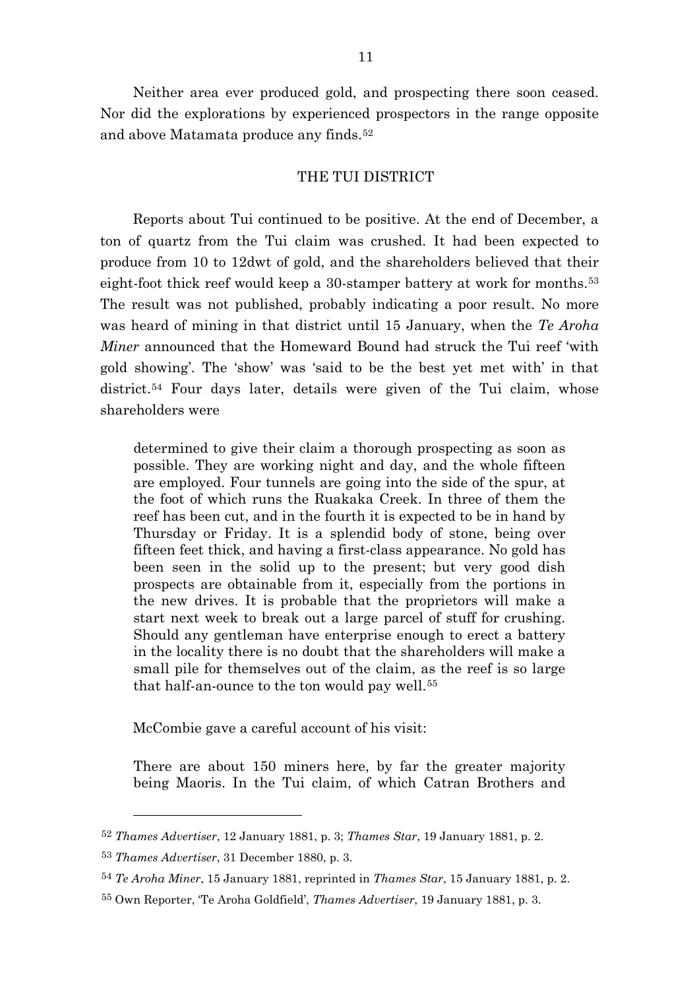Neither area ever produced gold, and prospecting there soon ceased. Nor did the explorations by experienced prospectors in the range opposite and above Matamata produce any finds.[52](#page-11-0)

## THE TUI DISTRICT

Reports about Tui continued to be positive. At the end of December, a ton of quartz from the Tui claim was crushed. It had been expected to produce from 10 to 12dwt of gold, and the shareholders believed that their eight-foot thick reef would keep a 30-stamper battery at work for months.<sup>[53](#page-11-1)</sup> The result was not published, probably indicating a poor result. No more was heard of mining in that district until 15 January, when the *Te Aroha Miner* announced that the Homeward Bound had struck the Tui reef 'with gold showing'. The 'show' was 'said to be the best yet met with' in that district.<sup>[54](#page-11-2)</sup> Four days later, details were given of the Tui claim, whose shareholders were

determined to give their claim a thorough prospecting as soon as possible. They are working night and day, and the whole fifteen are employed. Four tunnels are going into the side of the spur, at the foot of which runs the Ruakaka Creek. In three of them the reef has been cut, and in the fourth it is expected to be in hand by Thursday or Friday. It is a splendid body of stone, being over fifteen feet thick, and having a first-class appearance. No gold has been seen in the solid up to the present; but very good dish prospects are obtainable from it, especially from the portions in the new drives. It is probable that the proprietors will make a start next week to break out a large parcel of stuff for crushing. Should any gentleman have enterprise enough to erect a battery in the locality there is no doubt that the shareholders will make a small pile for themselves out of the claim, as the reef is so large that half-an-ounce to the ton would pay well.[55](#page-11-3)

McCombie gave a careful account of his visit:

There are about 150 miners here, by far the greater majority being Maoris. In the Tui claim, of which Catran Brothers and

<span id="page-11-0"></span><sup>52</sup> *Thames Advertiser*, 12 January 1881, p. 3; *Thames Star*, 19 January 1881, p. 2.

<span id="page-11-1"></span><sup>53</sup> *Thames Advertiser*, 31 December 1880, p. 3.

<span id="page-11-2"></span><sup>54</sup> *Te Aroha Miner*, 15 January 1881, reprinted in *Thames Star*, 15 January 1881, p. 2.

<span id="page-11-3"></span><sup>55</sup> Own Reporter, 'Te Aroha Goldfield', *Thames Advertiser*, 19 January 1881, p. 3.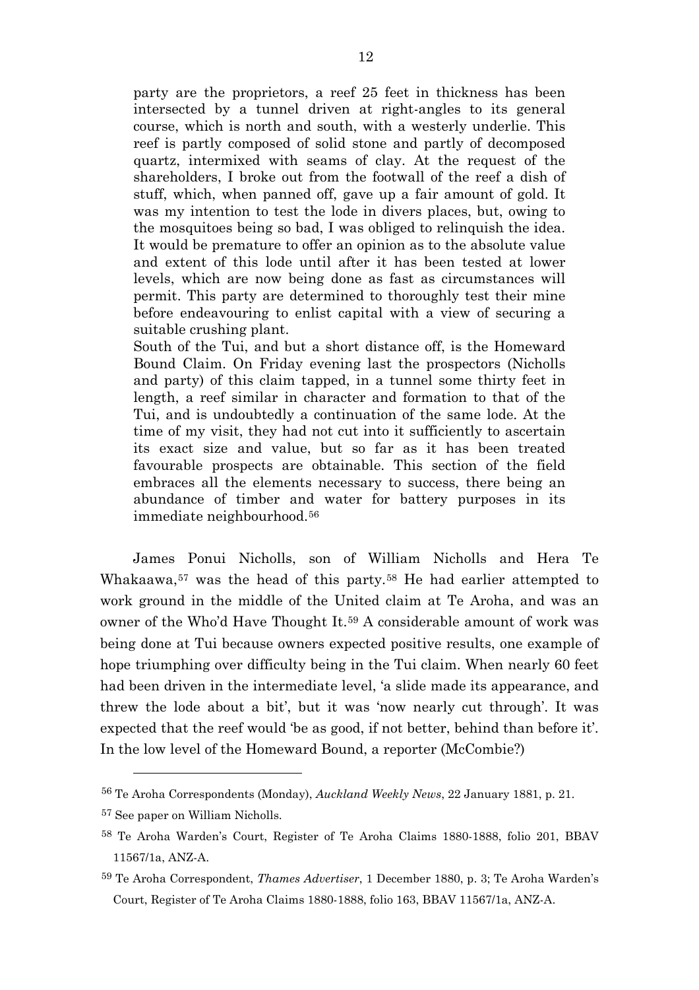party are the proprietors, a reef 25 feet in thickness has been intersected by a tunnel driven at right-angles to its general course, which is north and south, with a westerly underlie. This reef is partly composed of solid stone and partly of decomposed quartz, intermixed with seams of clay. At the request of the shareholders, I broke out from the footwall of the reef a dish of stuff, which, when panned off, gave up a fair amount of gold. It was my intention to test the lode in divers places, but, owing to the mosquitoes being so bad, I was obliged to relinquish the idea. It would be premature to offer an opinion as to the absolute value and extent of this lode until after it has been tested at lower levels, which are now being done as fast as circumstances will permit. This party are determined to thoroughly test their mine before endeavouring to enlist capital with a view of securing a suitable crushing plant.

South of the Tui, and but a short distance off, is the Homeward Bound Claim. On Friday evening last the prospectors (Nicholls and party) of this claim tapped, in a tunnel some thirty feet in length, a reef similar in character and formation to that of the Tui, and is undoubtedly a continuation of the same lode. At the time of my visit, they had not cut into it sufficiently to ascertain its exact size and value, but so far as it has been treated favourable prospects are obtainable. This section of the field embraces all the elements necessary to success, there being an abundance of timber and water for battery purposes in its immediate neighbourhood.[56](#page-12-0)

James Ponui Nicholls, son of William Nicholls and Hera Te Whakaawa,[57](#page-12-1) was the head of this party.[58](#page-12-2) He had earlier attempted to work ground in the middle of the United claim at Te Aroha, and was an owner of the Who'd Have Thought It.[59](#page-12-3) A considerable amount of work was being done at Tui because owners expected positive results, one example of hope triumphing over difficulty being in the Tui claim. When nearly 60 feet had been driven in the intermediate level, 'a slide made its appearance, and threw the lode about a bit', but it was 'now nearly cut through'. It was expected that the reef would 'be as good, if not better, behind than before it'. In the low level of the Homeward Bound, a reporter (McCombie?)

<span id="page-12-0"></span><sup>56</sup> Te Aroha Correspondents (Monday), *Auckland Weekly News*, 22 January 1881, p. 21.

<span id="page-12-1"></span><sup>57</sup> See paper on William Nicholls.

<span id="page-12-2"></span><sup>58</sup> Te Aroha Warden's Court, Register of Te Aroha Claims 1880-1888, folio 201, BBAV 11567/1a, ANZ-A.

<span id="page-12-3"></span><sup>59</sup> Te Aroha Correspondent, *Thames Advertiser*, 1 December 1880, p. 3; Te Aroha Warden's Court, Register of Te Aroha Claims 1880-1888, folio 163, BBAV 11567/1a, ANZ-A.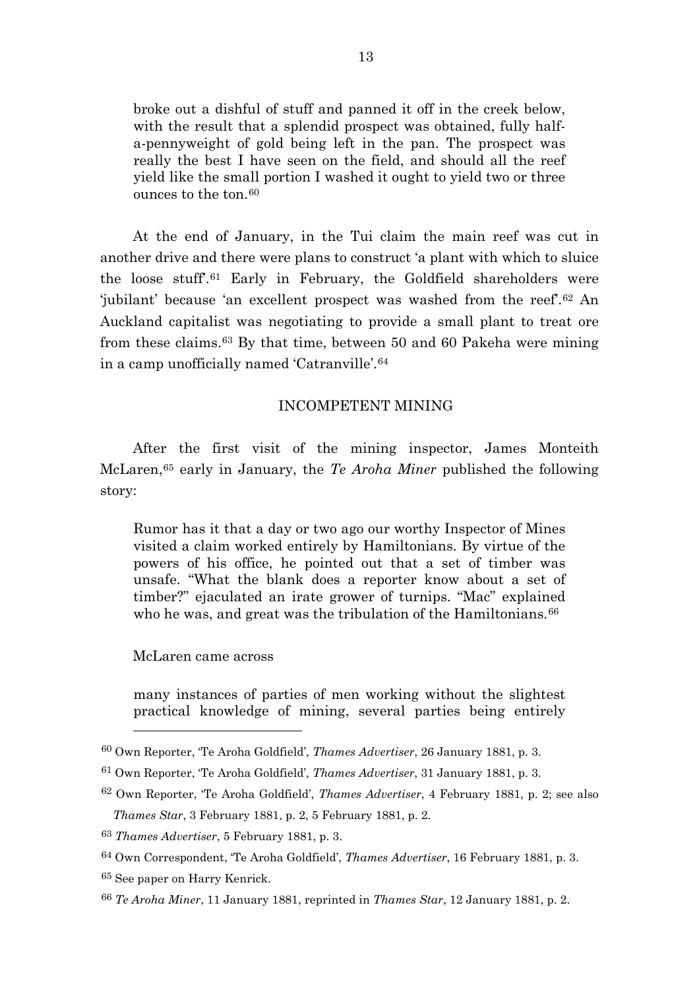broke out a dishful of stuff and panned it off in the creek below, with the result that a splendid prospect was obtained, fully halfa-pennyweight of gold being left in the pan. The prospect was really the best I have seen on the field, and should all the reef yield like the small portion I washed it ought to yield two or three ounces to the ton.[60](#page-13-0)

At the end of January, in the Tui claim the main reef was cut in another drive and there were plans to construct 'a plant with which to sluice the loose stuff'.[61](#page-13-1) Early in February, the Goldfield shareholders were 'jubilant' because 'an excellent prospect was washed from the reef'.[62](#page-13-2) An Auckland capitalist was negotiating to provide a small plant to treat ore from these claims.[63](#page-13-3) By that time, between 50 and 60 Pakeha were mining in a camp unofficially named 'Catranville'.[64](#page-13-4)

### INCOMPETENT MINING

After the first visit of the mining inspector, James Monteith McLaren,[65](#page-13-5) early in January, the *Te Aroha Miner* published the following story:

Rumor has it that a day or two ago our worthy Inspector of Mines visited a claim worked entirely by Hamiltonians. By virtue of the powers of his office, he pointed out that a set of timber was unsafe. "What the blank does a reporter know about a set of timber?" ejaculated an irate grower of turnips. "Mac" explained who he was, and great was the tribulation of the Hamiltonians.<sup>[66](#page-13-6)</sup>

McLaren came across

many instances of parties of men working without the slightest practical knowledge of mining, several parties being entirely

<span id="page-13-0"></span><sup>60</sup> Own Reporter, 'Te Aroha Goldfield', *Thames Advertiser*, 26 January 1881, p. 3.

<span id="page-13-1"></span><sup>61</sup> Own Reporter, 'Te Aroha Goldfield', *Thames Advertiser*, 31 January 1881, p. 3.

<span id="page-13-2"></span><sup>62</sup> Own Reporter, 'Te Aroha Goldfield', *Thames Advertiser*, 4 February 1881, p. 2; see also *Thames Star*, 3 February 1881, p. 2, 5 February 1881, p. 2.

<span id="page-13-3"></span><sup>63</sup> *Thames Advertiser*, 5 February 1881, p. 3.

<span id="page-13-4"></span><sup>64</sup> Own Correspondent, 'Te Aroha Goldfield', *Thames Advertiser*, 16 February 1881, p. 3.

<span id="page-13-5"></span><sup>65</sup> See paper on Harry Kenrick.

<span id="page-13-6"></span><sup>66</sup> *Te Aroha Miner*, 11 January 1881, reprinted in *Thames Star*, 12 January 1881, p. 2.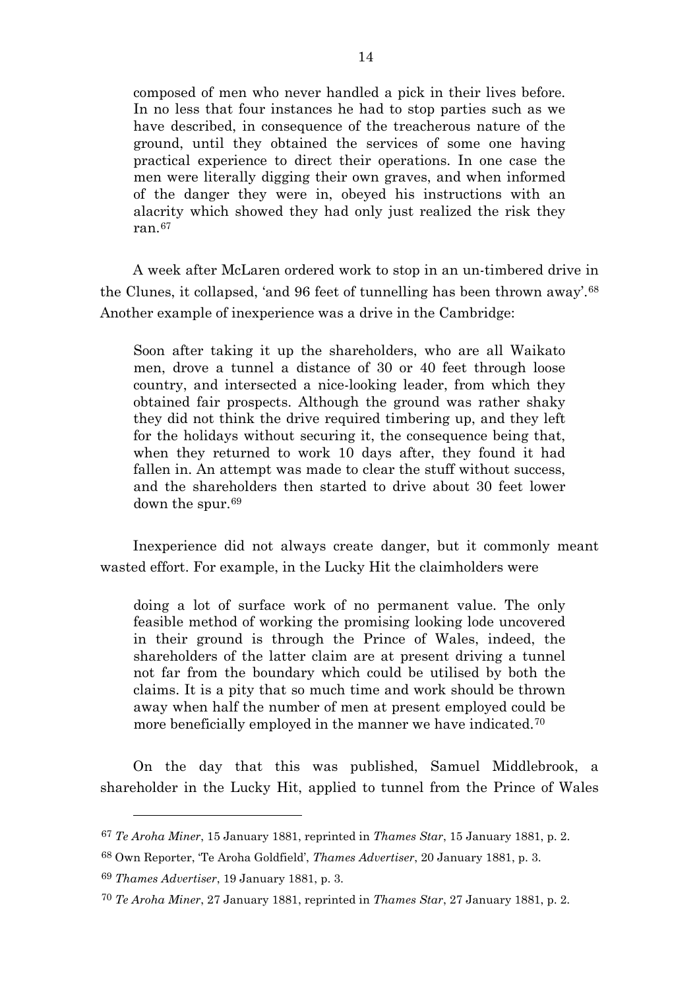composed of men who never handled a pick in their lives before. In no less that four instances he had to stop parties such as we have described, in consequence of the treacherous nature of the ground, until they obtained the services of some one having practical experience to direct their operations. In one case the men were literally digging their own graves, and when informed of the danger they were in, obeyed his instructions with an alacrity which showed they had only just realized the risk they ran.[67](#page-14-0)

A week after McLaren ordered work to stop in an un-timbered drive in the Clunes, it collapsed, 'and 96 feet of tunnelling has been thrown away'.[68](#page-14-1) Another example of inexperience was a drive in the Cambridge:

Soon after taking it up the shareholders, who are all Waikato men, drove a tunnel a distance of 30 or 40 feet through loose country, and intersected a nice-looking leader, from which they obtained fair prospects. Although the ground was rather shaky they did not think the drive required timbering up, and they left for the holidays without securing it, the consequence being that, when they returned to work 10 days after, they found it had fallen in. An attempt was made to clear the stuff without success, and the shareholders then started to drive about 30 feet lower down the spur.[69](#page-14-2)

Inexperience did not always create danger, but it commonly meant wasted effort. For example, in the Lucky Hit the claimholders were

doing a lot of surface work of no permanent value. The only feasible method of working the promising looking lode uncovered in their ground is through the Prince of Wales, indeed, the shareholders of the latter claim are at present driving a tunnel not far from the boundary which could be utilised by both the claims. It is a pity that so much time and work should be thrown away when half the number of men at present employed could be more beneficially employed in the manner we have indicated.<sup>[70](#page-14-3)</sup>

On the day that this was published, Samuel Middlebrook, a shareholder in the Lucky Hit, applied to tunnel from the Prince of Wales

<span id="page-14-0"></span><sup>67</sup> *Te Aroha Miner*, 15 January 1881, reprinted in *Thames Star*, 15 January 1881, p. 2.

<span id="page-14-1"></span><sup>68</sup> Own Reporter, 'Te Aroha Goldfield', *Thames Advertiser*, 20 January 1881, p. 3.

<span id="page-14-3"></span><span id="page-14-2"></span><sup>69</sup> *Thames Advertiser*, 19 January 1881, p. 3.

<sup>70</sup> *Te Aroha Miner*, 27 January 1881, reprinted in *Thames Star*, 27 January 1881, p. 2.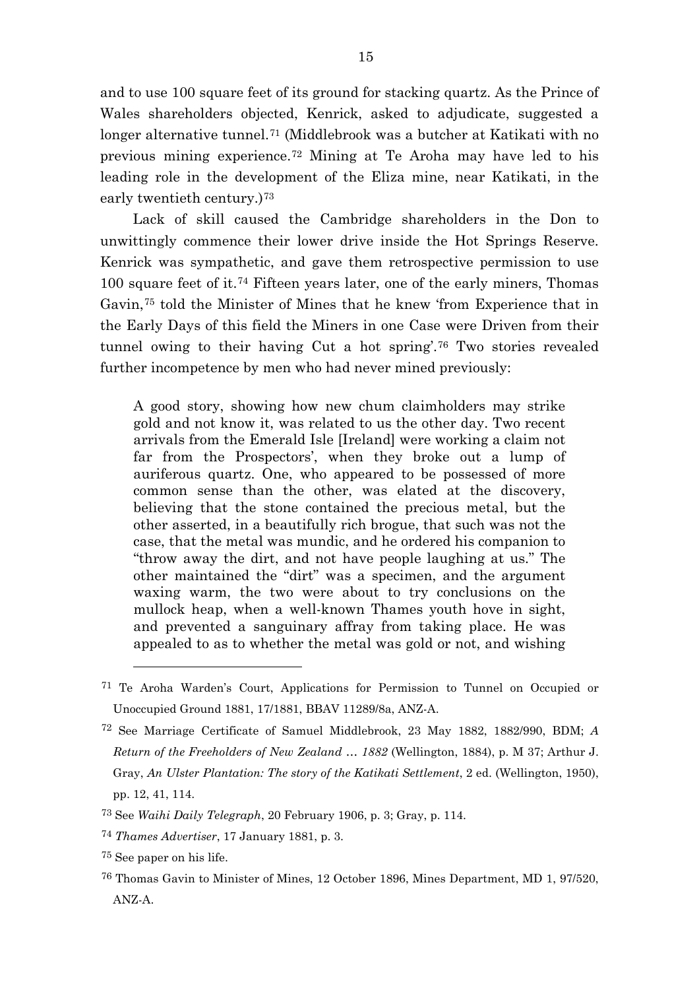and to use 100 square feet of its ground for stacking quartz. As the Prince of Wales shareholders objected, Kenrick, asked to adjudicate, suggested a longer alternative tunnel.<sup>[71](#page-15-0)</sup> (Middlebrook was a butcher at Katikati with no previous mining experience.[72](#page-15-1) Mining at Te Aroha may have led to his leading role in the development of the Eliza mine, near Katikati, in the early twentieth century.)<sup>[73](#page-15-2)</sup>

Lack of skill caused the Cambridge shareholders in the Don to unwittingly commence their lower drive inside the Hot Springs Reserve. Kenrick was sympathetic, and gave them retrospective permission to use 100 square feet of it.[74](#page-15-3) Fifteen years later, one of the early miners, Thomas Gavin,[75](#page-15-4) told the Minister of Mines that he knew 'from Experience that in the Early Days of this field the Miners in one Case were Driven from their tunnel owing to their having Cut a hot spring'.[76](#page-15-5) Two stories revealed further incompetence by men who had never mined previously:

A good story, showing how new chum claimholders may strike gold and not know it, was related to us the other day. Two recent arrivals from the Emerald Isle [Ireland] were working a claim not far from the Prospectors', when they broke out a lump of auriferous quartz. One, who appeared to be possessed of more common sense than the other, was elated at the discovery, believing that the stone contained the precious metal, but the other asserted, in a beautifully rich brogue, that such was not the case, that the metal was mundic, and he ordered his companion to "throw away the dirt, and not have people laughing at us." The other maintained the "dirt" was a specimen, and the argument waxing warm, the two were about to try conclusions on the mullock heap, when a well-known Thames youth hove in sight, and prevented a sanguinary affray from taking place. He was appealed to as to whether the metal was gold or not, and wishing

 $\overline{a}$ 

<span id="page-15-0"></span><sup>71</sup> Te Aroha Warden's Court, Applications for Permission to Tunnel on Occupied or Unoccupied Ground 1881, 17/1881, BBAV 11289/8a, ANZ-A.

<span id="page-15-1"></span><sup>72</sup> See Marriage Certificate of Samuel Middlebrook, 23 May 1882, 1882/990, BDM; *A Return of the Freeholders of New Zealand … 1882* (Wellington, 1884), p. M 37; Arthur J. Gray, *An Ulster Plantation: The story of the Katikati Settlement*, 2 ed. (Wellington, 1950), pp. 12, 41, 114.

<span id="page-15-2"></span><sup>73</sup> See *Waihi Daily Telegraph*, 20 February 1906, p. 3; Gray, p. 114.

<span id="page-15-3"></span><sup>74</sup> *Thames Advertiser*, 17 January 1881, p. 3.

<span id="page-15-4"></span><sup>75</sup> See paper on his life.

<span id="page-15-5"></span><sup>76</sup> Thomas Gavin to Minister of Mines, 12 October 1896, Mines Department, MD 1, 97/520, ANZ-A.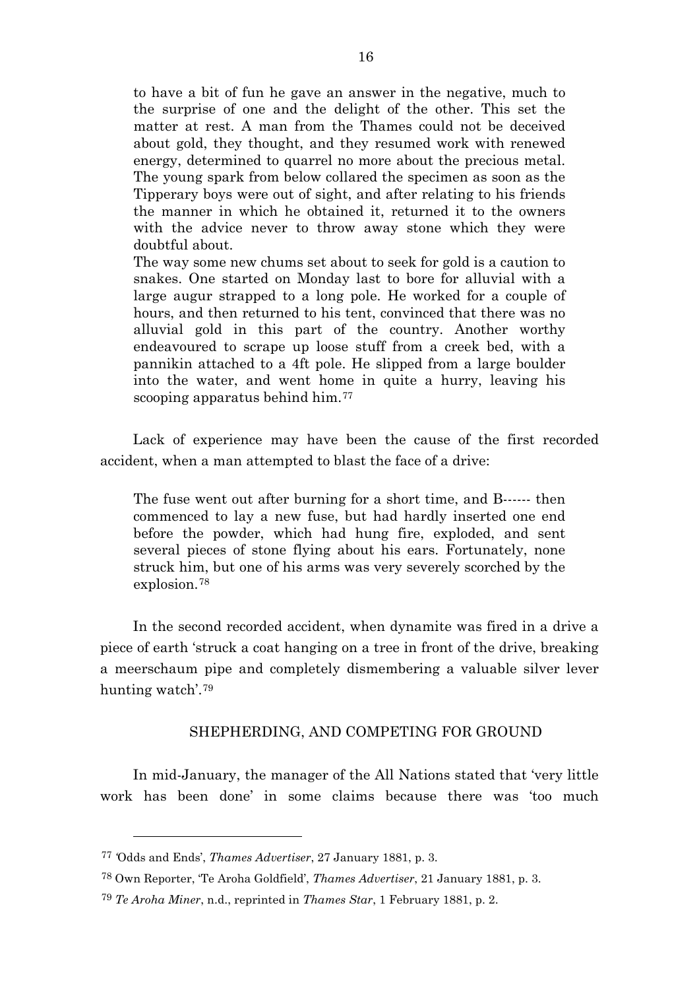to have a bit of fun he gave an answer in the negative, much to the surprise of one and the delight of the other. This set the matter at rest. A man from the Thames could not be deceived about gold, they thought, and they resumed work with renewed energy, determined to quarrel no more about the precious metal. The young spark from below collared the specimen as soon as the Tipperary boys were out of sight, and after relating to his friends the manner in which he obtained it, returned it to the owners with the advice never to throw away stone which they were doubtful about.

The way some new chums set about to seek for gold is a caution to snakes. One started on Monday last to bore for alluvial with a large augur strapped to a long pole. He worked for a couple of hours, and then returned to his tent, convinced that there was no alluvial gold in this part of the country. Another worthy endeavoured to scrape up loose stuff from a creek bed, with a pannikin attached to a 4ft pole. He slipped from a large boulder into the water, and went home in quite a hurry, leaving his scooping apparatus behind him.<sup>[77](#page-16-0)</sup>

Lack of experience may have been the cause of the first recorded accident, when a man attempted to blast the face of a drive:

The fuse went out after burning for a short time, and B------ then commenced to lay a new fuse, but had hardly inserted one end before the powder, which had hung fire, exploded, and sent several pieces of stone flying about his ears. Fortunately, none struck him, but one of his arms was very severely scorched by the explosion.[78](#page-16-1)

In the second recorded accident, when dynamite was fired in a drive a piece of earth 'struck a coat hanging on a tree in front of the drive, breaking a meerschaum pipe and completely dismembering a valuable silver lever hunting watch'.[79](#page-16-2)

## SHEPHERDING, AND COMPETING FOR GROUND

In mid-January, the manager of the All Nations stated that 'very little work has been done' in some claims because there was 'too much

<span id="page-16-0"></span><sup>77</sup> *'*Odds and Ends', *Thames Advertiser*, 27 January 1881, p. 3.

<span id="page-16-2"></span><span id="page-16-1"></span><sup>78</sup> Own Reporter, 'Te Aroha Goldfield', *Thames Advertiser*, 21 January 1881, p. 3.

<sup>79</sup> *Te Aroha Miner*, n.d., reprinted in *Thames Star*, 1 February 1881, p. 2.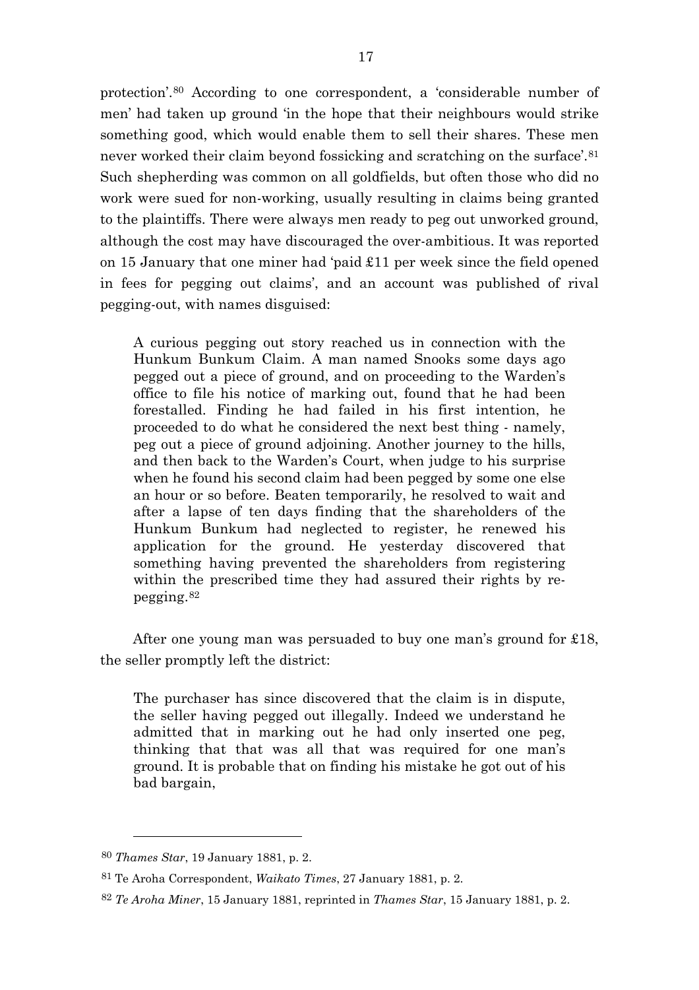protection'.[80](#page-17-0) According to one correspondent, a 'considerable number of men' had taken up ground 'in the hope that their neighbours would strike something good, which would enable them to sell their shares. These men never worked their claim beyond fossicking and scratching on the surface'.<sup>[81](#page-17-1)</sup> Such shepherding was common on all goldfields, but often those who did no work were sued for non-working, usually resulting in claims being granted to the plaintiffs. There were always men ready to peg out unworked ground, although the cost may have discouraged the over-ambitious. It was reported on 15 January that one miner had 'paid £11 per week since the field opened in fees for pegging out claims', and an account was published of rival pegging-out, with names disguised:

A curious pegging out story reached us in connection with the Hunkum Bunkum Claim. A man named Snooks some days ago pegged out a piece of ground, and on proceeding to the Warden's office to file his notice of marking out, found that he had been forestalled. Finding he had failed in his first intention, he proceeded to do what he considered the next best thing - namely, peg out a piece of ground adjoining. Another journey to the hills, and then back to the Warden's Court, when judge to his surprise when he found his second claim had been pegged by some one else an hour or so before. Beaten temporarily, he resolved to wait and after a lapse of ten days finding that the shareholders of the Hunkum Bunkum had neglected to register, he renewed his application for the ground. He yesterday discovered that something having prevented the shareholders from registering within the prescribed time they had assured their rights by repegging.[82](#page-17-2)

After one young man was persuaded to buy one man's ground for £18, the seller promptly left the district:

The purchaser has since discovered that the claim is in dispute, the seller having pegged out illegally. Indeed we understand he admitted that in marking out he had only inserted one peg, thinking that that was all that was required for one man's ground. It is probable that on finding his mistake he got out of his bad bargain,

<span id="page-17-0"></span><sup>80</sup> *Thames Star*, 19 January 1881, p. 2.

<span id="page-17-1"></span><sup>81</sup> Te Aroha Correspondent, *Waikato Times*, 27 January 1881, p. 2.

<span id="page-17-2"></span><sup>82</sup> *Te Aroha Miner*, 15 January 1881, reprinted in *Thames Star*, 15 January 1881, p. 2.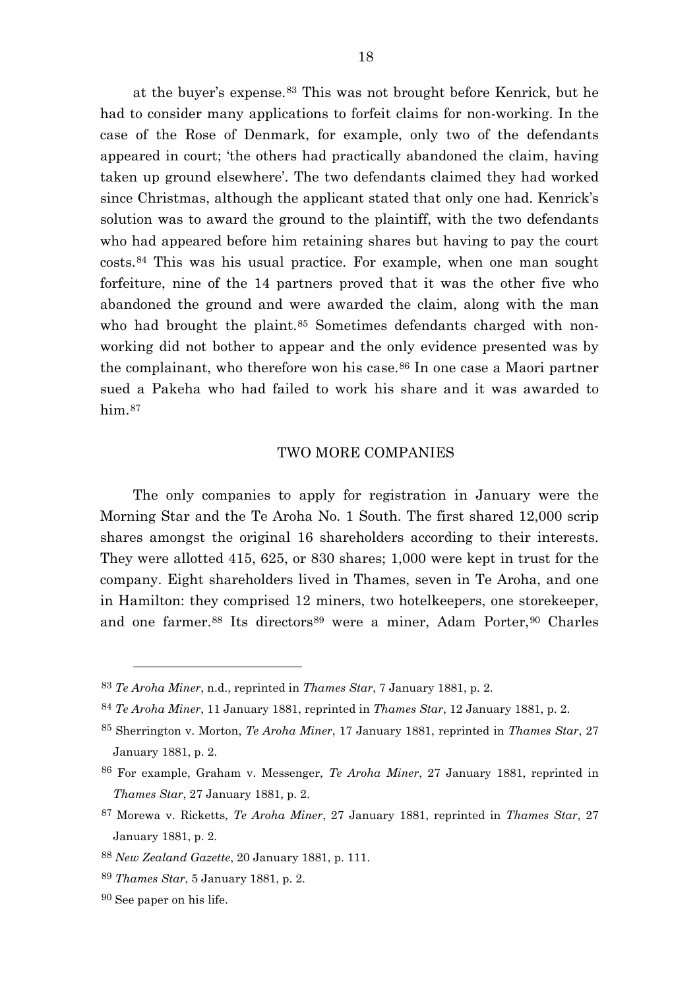at the buyer's expense.[83](#page-18-0) This was not brought before Kenrick, but he had to consider many applications to forfeit claims for non-working. In the case of the Rose of Denmark, for example, only two of the defendants appeared in court; 'the others had practically abandoned the claim, having taken up ground elsewhere'. The two defendants claimed they had worked since Christmas, although the applicant stated that only one had. Kenrick's solution was to award the ground to the plaintiff, with the two defendants who had appeared before him retaining shares but having to pay the court costs.[84](#page-18-1) This was his usual practice. For example, when one man sought forfeiture, nine of the 14 partners proved that it was the other five who abandoned the ground and were awarded the claim, along with the man who had brought the plaint.<sup>[85](#page-18-2)</sup> Sometimes defendants charged with nonworking did not bother to appear and the only evidence presented was by the complainant, who therefore won his case.<sup>[86](#page-18-3)</sup> In one case a Maori partner sued a Pakeha who had failed to work his share and it was awarded to him.<sup>[87](#page-18-4)</sup>

## TWO MORE COMPANIES

The only companies to apply for registration in January were the Morning Star and the Te Aroha No. 1 South. The first shared 12,000 scrip shares amongst the original 16 shareholders according to their interests. They were allotted 415, 625, or 830 shares; 1,000 were kept in trust for the company. Eight shareholders lived in Thames, seven in Te Aroha, and one in Hamilton: they comprised 12 miners, two hotelkeepers, one storekeeper, and one farmer.<sup>[88](#page-18-5)</sup> Its directors<sup>[89](#page-18-6)</sup> were a miner, Adam Porter,<sup>[90](#page-18-7)</sup> Charles

 $\overline{a}$ 

<span id="page-18-0"></span><sup>83</sup> *Te Aroha Miner*, n.d., reprinted in *Thames Star*, 7 January 1881, p. 2.

<span id="page-18-1"></span><sup>84</sup> *Te Aroha Miner*, 11 January 1881, reprinted in *Thames Star*, 12 January 1881, p. 2.

<span id="page-18-2"></span><sup>85</sup> Sherrington v. Morton, *Te Aroha Miner*, 17 January 1881, reprinted in *Thames Star*, 27 January 1881, p. 2.

<span id="page-18-3"></span><sup>86</sup> For example, Graham v. Messenger, *Te Aroha Miner*, 27 January 1881, reprinted in *Thames Star*, 27 January 1881, p. 2.

<span id="page-18-4"></span><sup>87</sup> Morewa v. Ricketts, *Te Aroha Miner*, 27 January 1881, reprinted in *Thames Star*, 27 January 1881, p. 2.

<span id="page-18-5"></span><sup>88</sup> *New Zealand Gazette*, 20 January 1881, p. 111.

<span id="page-18-6"></span><sup>89</sup> *Thames Star*, 5 January 1881, p. 2.

<span id="page-18-7"></span><sup>90</sup> See paper on his life.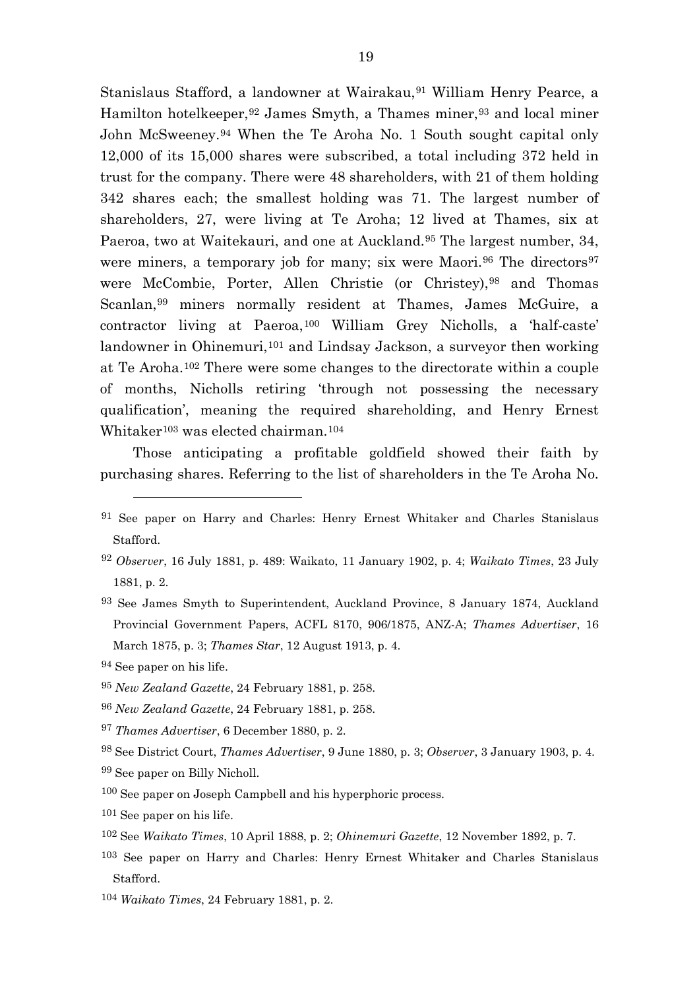Stanislaus Stafford, a landowner at Wairakau,<sup>[91](#page-19-0)</sup> William Henry Pearce, a Hamilton hotelkeeper, <sup>[92](#page-19-1)</sup> James Smyth, a Thames miner, <sup>[93](#page-19-2)</sup> and local miner John McSweeney.[94](#page-19-3) When the Te Aroha No. 1 South sought capital only 12,000 of its 15,000 shares were subscribed, a total including 372 held in trust for the company. There were 48 shareholders, with 21 of them holding 342 shares each; the smallest holding was 71. The largest number of shareholders, 27, were living at Te Aroha; 12 lived at Thames, six at Paeroa, two at Waitekauri, and one at Auckland.<sup>[95](#page-19-4)</sup> The largest number, 34, were miners, a temporary job for many; six were Maori.<sup>[96](#page-19-5)</sup> The directors<sup>[97](#page-19-6)</sup> were McCombie, Porter, Allen Christie (or Christey), [98](#page-19-7) and Thomas Scanlan,<sup>[99](#page-19-8)</sup> miners normally resident at Thames, James McGuire, a contractor living at Paeroa,[100](#page-19-9) William Grey Nicholls, a 'half-caste' landowner in Ohinemuri,<sup>[101](#page-19-10)</sup> and Lindsay Jackson, a surveyor then working at Te Aroha.[102](#page-19-11) There were some changes to the directorate within a couple of months, Nicholls retiring 'through not possessing the necessary qualification', meaning the required shareholding, and Henry Ernest Whitaker<sup>[103](#page-19-12)</sup> was elected chairman.<sup>[104](#page-19-13)</sup>

Those anticipating a profitable goldfield showed their faith by purchasing shares. Referring to the list of shareholders in the Te Aroha No.

 $\overline{a}$ 

<span id="page-19-6"></span><sup>97</sup> *Thames Advertiser*, 6 December 1880, p. 2.

- <span id="page-19-9"></span><span id="page-19-8"></span>99 See paper on Billy Nicholl.
- 100 See paper on Joseph Campbell and his hyperphoric process.

<span id="page-19-13"></span><sup>104</sup> *Waikato Times*, 24 February 1881, p. 2.

<span id="page-19-0"></span><sup>91</sup> See paper on Harry and Charles: Henry Ernest Whitaker and Charles Stanislaus Stafford.

<span id="page-19-1"></span><sup>92</sup> *Observer*, 16 July 1881, p. 489: Waikato, 11 January 1902, p. 4; *Waikato Times*, 23 July 1881, p. 2.

<span id="page-19-2"></span><sup>93</sup> See James Smyth to Superintendent, Auckland Province, 8 January 1874, Auckland Provincial Government Papers, ACFL 8170, 906/1875, ANZ-A; *Thames Advertiser*, 16 March 1875, p. 3; *Thames Star*, 12 August 1913, p. 4.

<span id="page-19-3"></span><sup>94</sup> See paper on his life.

<span id="page-19-4"></span><sup>95</sup> *New Zealand Gazette*, 24 February 1881, p. 258.

<span id="page-19-5"></span><sup>96</sup> *New Zealand Gazette*, 24 February 1881, p. 258.

<span id="page-19-7"></span><sup>98</sup> See District Court, *Thames Advertiser*, 9 June 1880, p. 3; *Observer*, 3 January 1903, p. 4.

<span id="page-19-10"></span><sup>101</sup> See paper on his life.

<span id="page-19-11"></span><sup>102</sup> See *Waikato Times*, 10 April 1888, p. 2; *Ohinemuri Gazette*, 12 November 1892, p. 7.

<span id="page-19-12"></span><sup>103</sup> See paper on Harry and Charles: Henry Ernest Whitaker and Charles Stanislaus Stafford.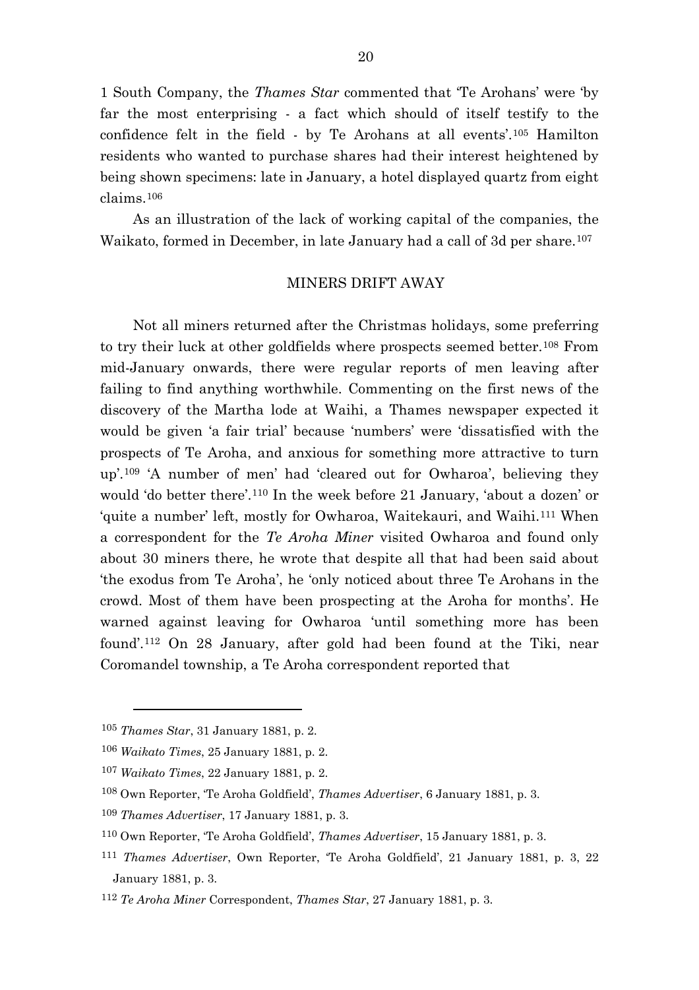1 South Company, the *Thames Star* commented that 'Te Arohans' were 'by far the most enterprising - a fact which should of itself testify to the confidence felt in the field - by Te Arohans at all events'.[105](#page-20-0) Hamilton residents who wanted to purchase shares had their interest heightened by being shown specimens: late in January, a hotel displayed quartz from eight claims.[106](#page-20-1)

As an illustration of the lack of working capital of the companies, the Waikato, formed in December, in late January had a call of 3d per share.<sup>[107](#page-20-2)</sup>

#### MINERS DRIFT AWAY

Not all miners returned after the Christmas holidays, some preferring to try their luck at other goldfields where prospects seemed better.[108](#page-20-3) From mid-January onwards, there were regular reports of men leaving after failing to find anything worthwhile. Commenting on the first news of the discovery of the Martha lode at Waihi, a Thames newspaper expected it would be given 'a fair trial' because 'numbers' were 'dissatisfied with the prospects of Te Aroha, and anxious for something more attractive to turn up'.[109](#page-20-4) 'A number of men' had 'cleared out for Owharoa', believing they would 'do better there'.[110](#page-20-5) In the week before 21 January, 'about a dozen' or 'quite a number' left, mostly for Owharoa, Waitekauri, and Waihi.[111](#page-20-6) When a correspondent for the *Te Aroha Miner* visited Owharoa and found only about 30 miners there, he wrote that despite all that had been said about 'the exodus from Te Aroha', he 'only noticed about three Te Arohans in the crowd. Most of them have been prospecting at the Aroha for months'. He warned against leaving for Owharoa 'until something more has been found'.[112](#page-20-7) On 28 January, after gold had been found at the Tiki, near Coromandel township, a Te Aroha correspondent reported that

<span id="page-20-0"></span><sup>105</sup> *Thames Star*, 31 January 1881, p. 2.

<span id="page-20-1"></span><sup>106</sup> *Waikato Times*, 25 January 1881, p. 2.

<span id="page-20-2"></span><sup>107</sup> *Waikato Times*, 22 January 1881, p. 2.

<span id="page-20-3"></span><sup>108</sup> Own Reporter, 'Te Aroha Goldfield', *Thames Advertiser*, 6 January 1881, p. 3.

<span id="page-20-4"></span><sup>109</sup> *Thames Advertiser*, 17 January 1881, p. 3.

<span id="page-20-5"></span><sup>110</sup> Own Reporter, 'Te Aroha Goldfield', *Thames Advertiser*, 15 January 1881, p. 3.

<span id="page-20-6"></span><sup>111</sup> *Thames Advertiser*, Own Reporter, 'Te Aroha Goldfield', 21 January 1881, p. 3, 22 January 1881, p. 3.

<span id="page-20-7"></span><sup>112</sup> *Te Aroha Miner* Correspondent, *Thames Star*, 27 January 1881, p. 3.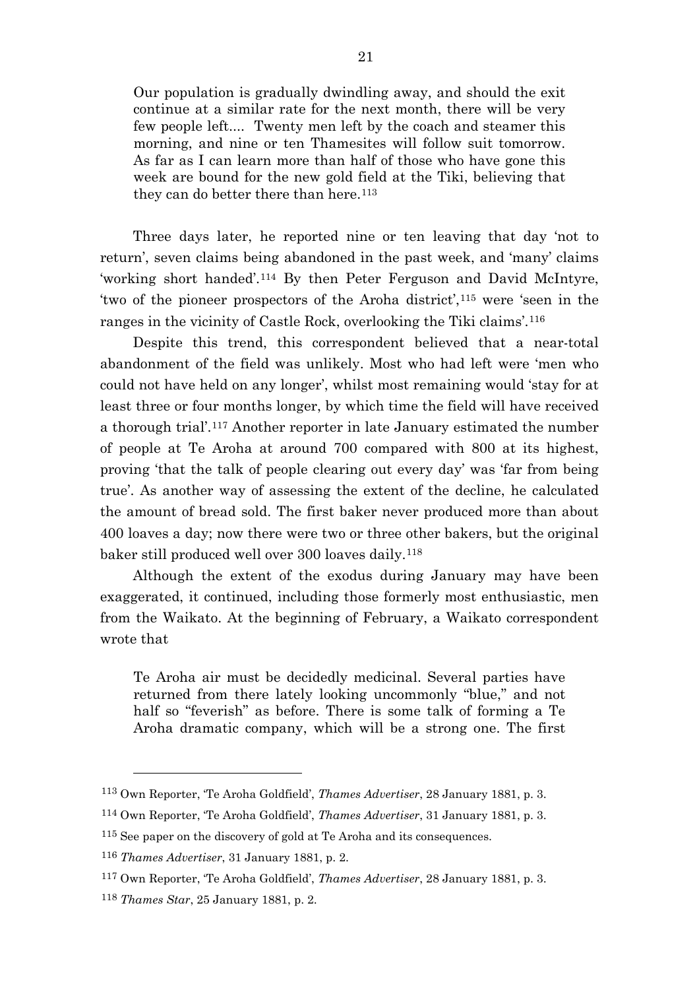Our population is gradually dwindling away, and should the exit continue at a similar rate for the next month, there will be very few people left.... Twenty men left by the coach and steamer this morning, and nine or ten Thamesites will follow suit tomorrow. As far as I can learn more than half of those who have gone this week are bound for the new gold field at the Tiki, believing that they can do better there than here.<sup>[113](#page-21-0)</sup>

Three days later, he reported nine or ten leaving that day 'not to return', seven claims being abandoned in the past week, and 'many' claims 'working short handed'.[114](#page-21-1) By then Peter Ferguson and David McIntyre, 'two of the pioneer prospectors of the Aroha district',[115](#page-21-2) were 'seen in the ranges in the vicinity of Castle Rock, overlooking the Tiki claims'.[116](#page-21-3)

Despite this trend, this correspondent believed that a near-total abandonment of the field was unlikely. Most who had left were 'men who could not have held on any longer', whilst most remaining would 'stay for at least three or four months longer, by which time the field will have received a thorough trial'.[117](#page-21-4) Another reporter in late January estimated the number of people at Te Aroha at around 700 compared with 800 at its highest, proving 'that the talk of people clearing out every day' was 'far from being true'. As another way of assessing the extent of the decline, he calculated the amount of bread sold. The first baker never produced more than about 400 loaves a day; now there were two or three other bakers, but the original baker still produced well over 300 loaves daily.[118](#page-21-5)

Although the extent of the exodus during January may have been exaggerated, it continued, including those formerly most enthusiastic, men from the Waikato. At the beginning of February, a Waikato correspondent wrote that

Te Aroha air must be decidedly medicinal. Several parties have returned from there lately looking uncommonly "blue," and not half so "feverish" as before. There is some talk of forming a Te Aroha dramatic company, which will be a strong one. The first

<span id="page-21-0"></span><sup>113</sup> Own Reporter, 'Te Aroha Goldfield', *Thames Advertiser*, 28 January 1881, p. 3.

<span id="page-21-1"></span><sup>114</sup> Own Reporter, 'Te Aroha Goldfield', *Thames Advertiser*, 31 January 1881, p. 3.

<span id="page-21-2"></span><sup>115</sup> See paper on the discovery of gold at Te Aroha and its consequences.

<span id="page-21-3"></span><sup>116</sup> *Thames Advertiser*, 31 January 1881, p. 2.

<span id="page-21-4"></span><sup>117</sup> Own Reporter, 'Te Aroha Goldfield', *Thames Advertiser*, 28 January 1881, p. 3.

<span id="page-21-5"></span><sup>118</sup> *Thames Star*, 25 January 1881, p. 2.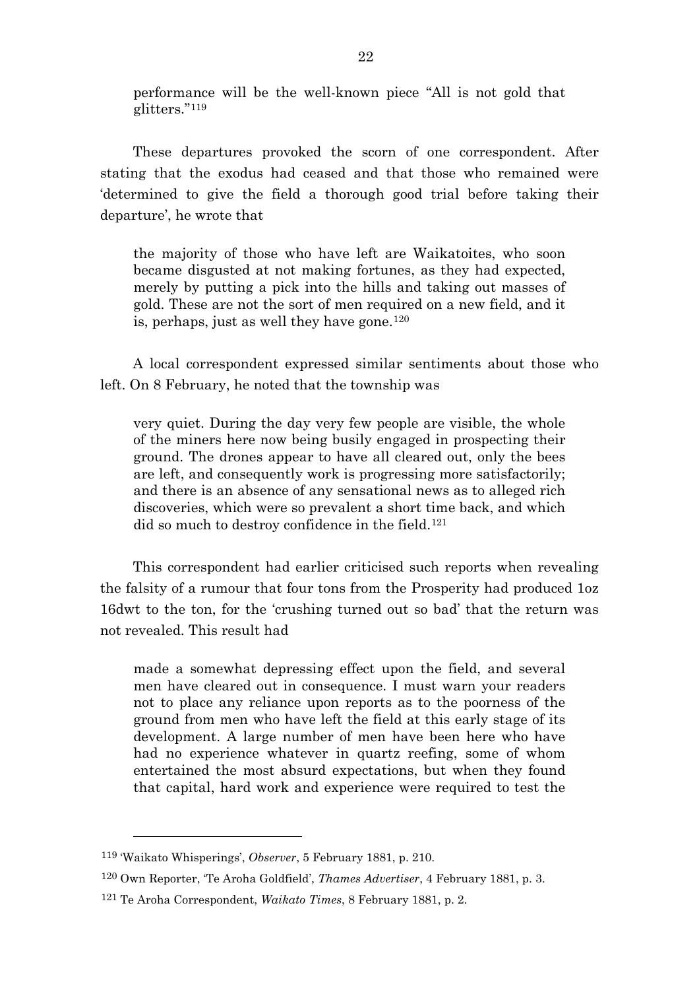performance will be the well-known piece "All is not gold that glitters."[119](#page-22-0)

These departures provoked the scorn of one correspondent. After stating that the exodus had ceased and that those who remained were 'determined to give the field a thorough good trial before taking their departure', he wrote that

the majority of those who have left are Waikatoites, who soon became disgusted at not making fortunes, as they had expected, merely by putting a pick into the hills and taking out masses of gold. These are not the sort of men required on a new field, and it is, perhaps, just as well they have gone.[120](#page-22-1)

A local correspondent expressed similar sentiments about those who left. On 8 February, he noted that the township was

very quiet. During the day very few people are visible, the whole of the miners here now being busily engaged in prospecting their ground. The drones appear to have all cleared out, only the bees are left, and consequently work is progressing more satisfactorily; and there is an absence of any sensational news as to alleged rich discoveries, which were so prevalent a short time back, and which did so much to destroy confidence in the field.[121](#page-22-2)

This correspondent had earlier criticised such reports when revealing the falsity of a rumour that four tons from the Prosperity had produced 1oz 16dwt to the ton, for the 'crushing turned out so bad' that the return was not revealed. This result had

made a somewhat depressing effect upon the field, and several men have cleared out in consequence. I must warn your readers not to place any reliance upon reports as to the poorness of the ground from men who have left the field at this early stage of its development. A large number of men have been here who have had no experience whatever in quartz reefing, some of whom entertained the most absurd expectations, but when they found that capital, hard work and experience were required to test the

<span id="page-22-0"></span><sup>119</sup> 'Waikato Whisperings', *Observer*, 5 February 1881, p. 210.

<span id="page-22-1"></span><sup>120</sup> Own Reporter, 'Te Aroha Goldfield', *Thames Advertiser*, 4 February 1881, p. 3.

<span id="page-22-2"></span><sup>121</sup> Te Aroha Correspondent, *Waikato Times*, 8 February 1881, p. 2.